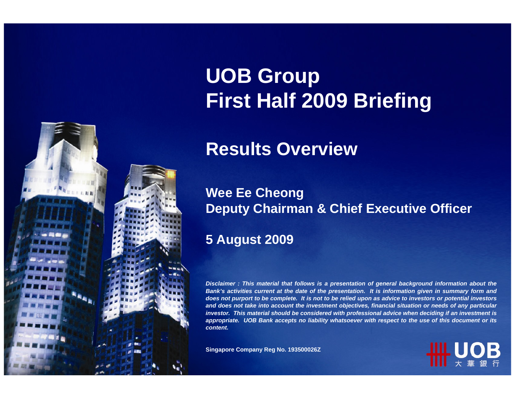

# **UOB Group First Half 2009 Briefing**

#### **Results Overview**

#### **Wee Ee Cheong Deputy Chairman & Chief Executive Officer**

#### **5 August 2009**

*Disclaimer : This material that follows is a presentation of general background information about the Bank's activities current at the date of the presentation. It is information given in summary form and does not purport to be complete. It is not to be relied upon as advice to investors or potential investors and does not take into account the investment objectives, financial situation or needs of any particular investor. This material should be considered with professional advice when deciding if an investment is appropriate. UOB Bank accepts no liability whatsoever with respect to the use of this document or its content.*

**Singapore Company Reg No. 193500026Z**

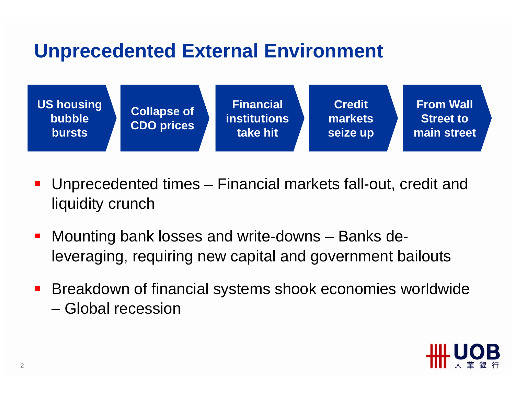### **Unprecedented External Environment**



- $\mathcal{L}_{\mathcal{A}}$  Unprecedented times – Financial markets fall-out, credit and liquidity crunch
- Mounting bank losses and write-downs Banks deleveraging, requiring new capital and government bailouts
- **Breakdown of financial systems shook economies worldwide** – Global recession

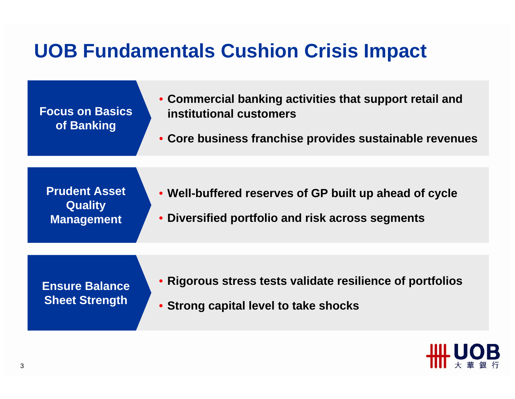## **UOB Fundamentals Cushion Crisis Impact**

| <b>Focus on Basics</b><br>of Banking                        | • Commercial banking activities that support retail and<br>institutional customers<br>• Core business franchise provides sustainable revenues |  |  |  |  |
|-------------------------------------------------------------|-----------------------------------------------------------------------------------------------------------------------------------------------|--|--|--|--|
| <b>Prudent Asset</b><br><b>Quality</b><br><b>Management</b> | • Well-buffered reserves of GP built up ahead of cycle<br>• Diversified portfolio and risk across segments                                    |  |  |  |  |
| <b>Ensure Balance</b><br><b>Sheet Strength</b>              | • Rigorous stress tests validate resilience of portfolios<br>• Strong capital level to take shocks                                            |  |  |  |  |

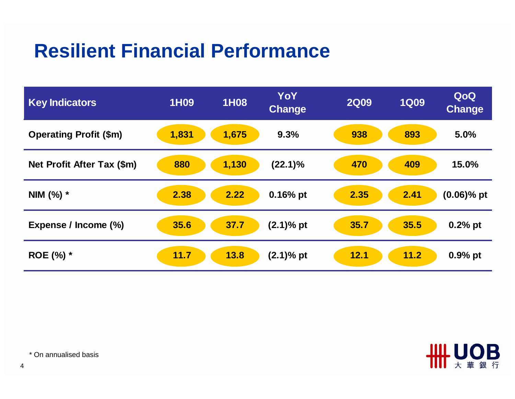### **Resilient Financial Performance**

| <b>Key Indicators</b>         | 1H09  | 1H08  | YoY<br><b>Change</b> | <b>2Q09</b> | <b>1Q09</b> | QoQ<br><b>Change</b> |
|-------------------------------|-------|-------|----------------------|-------------|-------------|----------------------|
| <b>Operating Profit (\$m)</b> | 1,831 | 1,675 | 9.3%                 | 938         | 893         | 5.0%                 |
| Net Profit After Tax (\$m)    | 880   | 1,130 | $(22.1)\%$           | 470         | 409         | 15.0%                |
| NIM $(%)$ *                   | 2.38  | 2.22  | $0.16%$ pt           | 2.35        | 2.41        | $(0.06)$ % pt        |
| Expense / Income (%)          | 35.6  | 37.7  | $(2.1)$ % pt         | 35.7        | 35.5        | $0.2%$ pt            |
| ROE (%) *                     | 11.7  | 13.8  | $(2.1)$ % pt         | 12.1        | 11.2        | $0.9%$ pt            |



\* On annualised basis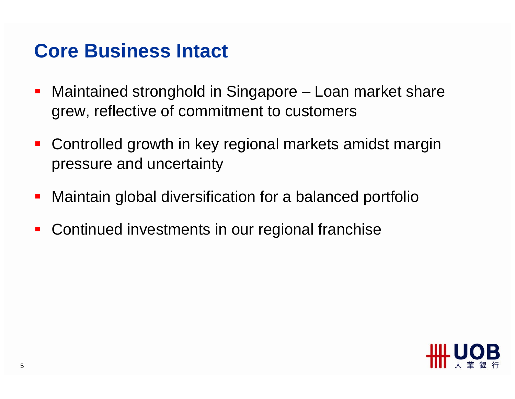#### **Core Business Intact**

- Maintained stronghold in Singapore – Loan market share grew, reflective of commitment to customers
- **Controlled growth in key regional markets amidst margin** pressure and uncertainty
- $\mathcal{L}_{\mathcal{A}}$ Maintain global diversification for a balanced portfolio
- $\mathbf{r}$ Continued investments in our regional franchise

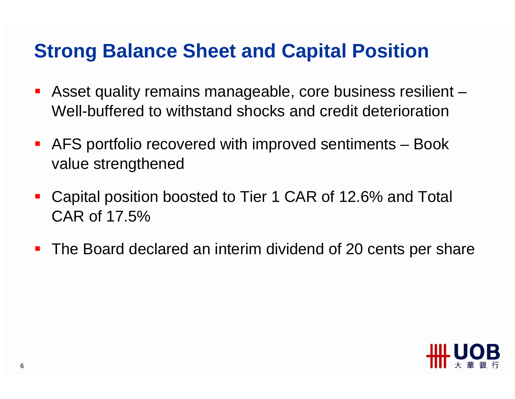#### **Strong Balance Sheet and Capital Position**

- Asset quality remains manageable, core business resilient Well-buffered to withstand shocks and credit deterioration
- AFS portfolio recovered with improved sentiments Book value strengthened
- $\mathcal{L}_{\mathcal{A}}$  Capital position boosted to Tier 1 CAR of 12.6% and Total CAR of 17.5%
- $\mathbf{r}$ The Board declared an interim dividend of 20 cents per share